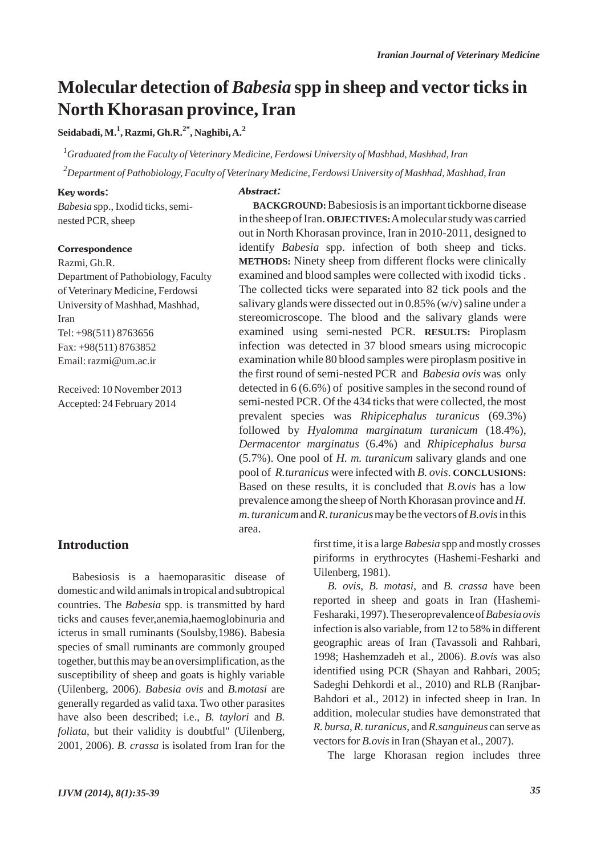# **Molecular detection of** *Babesia* **spp in sheep and vector ticks in North Khorasan province, Iran**

**Seidabadi, M.1 , Razmi, Gh.R.2\*, Naghibi, A.2**

*1 Graduated from the Faculty of Veterinary Medicine, Ferdowsi University of Mashhad, Mashhad, Iran*

*2 Department of Pathobiology, Faculty of Veterinary Medicine, Ferdowsi University of Mashhad, Mashhad, Iran*

#### Key words:

*Babesia* spp., Ixodid ticks, seminested PCR, sheep

#### **Correspondence**

Razmi, Gh.R.

Department of Pathobiology, Faculty of Veterinary Medicine, Ferdowsi University of Mashhad, Mashhad, Iran Tel: +98(511) 8763656 Fax: +98(511) 8763852 Email: razmi@um.ac.ir

Received: 10 November 2013 Accepted: 24 February 2014

#### Abstract:

**BACKGROUND:**Babesiosis is an important tickborne disease in the sheep of Iran. **OBJECTIVES:**Amolecular study was carried out in North Khorasan province, Iran in 2010-2011, designed to identify *Babesia* spp. infection of both sheep and ticks. **METHODS:** Ninety sheep from different flocks were clinically examined and blood samples were collected with ixodid ticks . The collected ticks were separated into 82 tick pools and the salivary glands were dissected out in 0.85% (w/v) saline under a stereomicroscope. The blood and the salivary glands were examined using semi-nested PCR. **RESULTS:** Piroplasm infection was detected in 37 blood smears using microcopic examination while 80 blood samples were piroplasm positive in the first round of semi-nested PCR and *Babesia ovis* was only detected in 6 (6.6%) of positive samples in the second round of semi-nested PCR. Of the 434 ticks that were collected, the most prevalent species was *Rhipicephalus turanicus* (69.3%) followed by *Hyalomma marginatum turanicum* (18.4%), *Dermacentor marginatus* (6.4%) and *Rhipicephalus bursa* (5.7%). One pool of *H. m. turanicum* salivary glands and one pool of *R.turanicus* were infected with *B. ovis*. **CONCLUSIONS:** Based on these results, it is concluded that *B.ovis* has a low prevalence among the sheep of North Khorasan province and *H. m. turanicum*and *R. turanicus*may be the vectors of *B.ovis*in this area.

### **Introduction**

Babesiosis is a haemoparasitic disease of domestic and wild animals in tropical and subtropical countries. The *Babesia* spp. is transmitted by hard ticks and causes fever,anemia,haemoglobinuria and icterus in small ruminants (Soulsby,1986). Babesia species of small ruminants are commonly grouped together, but this may be an oversimplification, as the susceptibility of sheep and goats is highly variable (Uilenberg, 2006). *Babesia ovis* and *B.motasi* are generally regarded as valid taxa. Two other parasites have also been described; i.e., *B. taylori* and *B. foliata*, but their validity is doubtful" (Uilenberg, 2001, 2006). *B. crassa* is isolated from Iran for the first time, it is a large *Babesia* spp and mostly crosses piriforms in erythrocytes (Hashemi-Fesharki and Uilenberg, 1981).

*B. ovis*, *B. motasi*, and *B. crassa* have been reported in sheep and goats in Iran (Hashemi-Fesharaki, 1997). The seroprevalence of *Babesia ovis* infection is also variable, from 12 to 58% in different geographic areas of Iran (Tavassoli and Rahbari, 1998; Hashemzadeh et al., 2006). *B.ovis* was also identified using PCR (Shayan and Rahbari, 2005; Sadeghi Dehkordi et al., 2010) and RLB (Ranjbar-Bahdori et al., 2012) in infected sheep in Iran. In addition, molecular studies have demonstrated that *R. bursa*, *R. turanicus*, and *R.sanguineus* can serve as vectors for *B.ovis*in Iran (Shayan et al., 2007).

The large Khorasan region includes three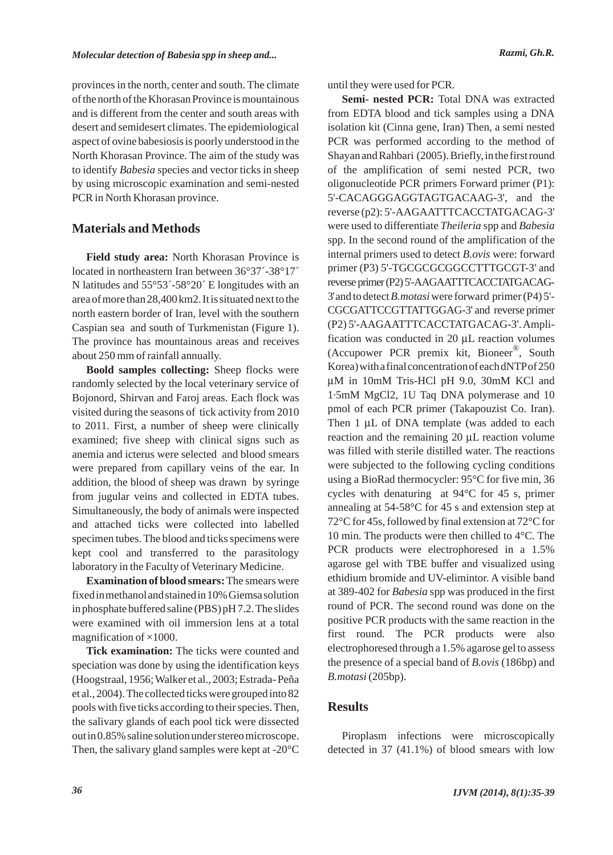provinces in the north, center and south. The climate of the north of the Khorasan Province is mountainous and is different from the center and south areas with desert and semidesert climates. The epidemiological aspect of ovine babesiosis is poorly understood in the North Khorasan Province. The aim of the study was to identify *Babesia* species and vector ticks in sheep by using microscopic examination and semi-nested PCR in North Khorasan province.

## **Materials and Methods**

**Field study area:** North Khorasan Province is located in northeastern Iran between 36°37´-38°17´ N latitudes and 55°53´-58°20´ E longitudes with an area of more than 28,400 km2. It is situated next to the north eastern border of Iran, level with the southern Caspian sea and south of Turkmenistan (Figure 1). The province has mountainous areas and receives about 250 mm of rainfall annually.

**Boold samples collecting:** Sheep flocks were randomly selected by the local veterinary service of Bojonord, Shirvan and Faroj areas. Each flock was visited during the seasons of tick activity from 2010 to 2011. First, a number of sheep were clinically examined; five sheep with clinical signs such as anemia and icterus were selected and blood smears were prepared from capillary veins of the ear. In addition, the blood of sheep was drawn by syringe from jugular veins and collected in EDTA tubes. Simultaneously, the body of animals were inspected and attached ticks were collected into labelled specimen tubes. The blood and ticks specimens were kept cool and transferred to the parasitology laboratory in the Faculty of Veterinary Medicine.

**Examination of blood smears:**The smears were fixed in methanol and stained in 10% Giemsa solution in phosphate buffered saline (PBS) pH 7.2. The slides were examined with oil immersion lens at a total magnification of  $\times$ 1000.

**Tick examination:** The ticks were counted and speciation was done by using the identification keys (Hoogstraal, 1956; Walker et al., 2003; Estrada- Peña et al., 2004). The collected ticks were grouped into 82 pools with five ticks according to their species. Then, the salivary glands of each pool tick were dissected out in 0.85% saline solution under stereo microscope. Then, the salivary gland samples were kept at -20°C until they were used for PCR.

**Semi- nested PCR:** Total DNA was extracted from EDTA blood and tick samples using a DNA isolation kit (Cinna gene, Iran) Then, a semi nested PCR was performed according to the method of Shayan and Rahbari (2005). Briefly, in the first round of the amplification of semi nested PCR, two oligonucleotide PCR primers Forward primer (P1): 5'-CACAGGGAGGTAGTGACAAG-3', and the reverse (p2): 5'-AAGAATTTCACCTATGACAG-3' were used to differentiate *Theileria* spp and *Babesia* spp. In the second round of the amplification of the internal primers used to detect *B.ovis* were: forward primer (P3) 5'-TGCGCGCGGCCTTTGCGT-3' and reverse primer (P2) 5'-AAGAATTTCACCTATGACAG-3'and to detect *B.motasi*were forward primer (P4) 5'- CGCGATTCCGTTATTGGAG-3' and reverse primer (P2) 5'-AAGAATTTCACCTATGACAG-3'. Amplification was conducted in 20 μL reaction volumes (Accupower PCR premix kit, Bioneer®, South Korea) with a final concentration of each dNTPof 250 μM in 10mM Tris-HCl pH 9.0, 30mM KCl and 1·5mM MgCl2, 1U Taq DNA polymerase and 10 pmol of each PCR primer (Takapouzist Co. Iran). Then 1 μL of DNA template (was added to each reaction and the remaining 20 μL reaction volume was filled with sterile distilled water. The reactions were subjected to the following cycling conditions using a BioRad thermocycler: 95°C for five min, 36 cycles with denaturing at 94°C for 45 s, primer annealing at 54-58°C for 45 s and extension step at 72°C for 45s, followed by final extension at 72°C for 10 min. The products were then chilled to 4°C. The PCR products were electrophoresed in a 1.5% agarose gel with TBE buffer and visualized using ethidium bromide and UV-elimintor. A visible band at 389-402 for *Babesia* spp was produced in the first round of PCR. The second round was done on the positive PCR products with the same reaction in the first round. The PCR products were also electrophoresed through a 1.5% agarose gel to assess the presence of a special band of *B.ovis* (186bp) and *B.motasi* (205bp).

## **Results**

Piroplasm infections were microscopically detected in 37 (41.1%) of blood smears with low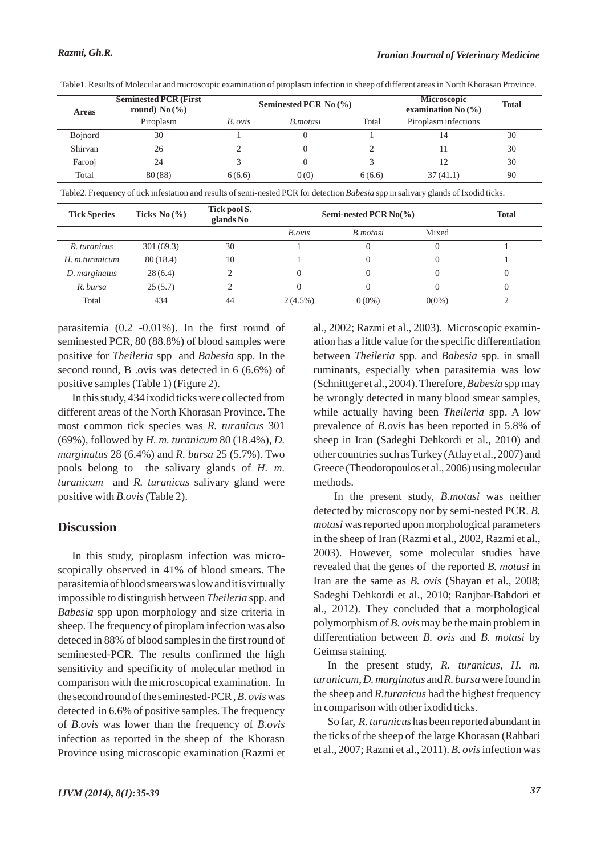| <b>Areas</b>   | <b>Seminested PCR (First)</b><br>round) No $(\% )$ | Seminested PCR No $(\% )$ |                 |        | <b>Microscopic</b><br>examination No $(\% )$ | <b>Total</b> |
|----------------|----------------------------------------------------|---------------------------|-----------------|--------|----------------------------------------------|--------------|
|                | Piroplasm                                          | B. ovis                   | <i>B.motasi</i> | Total  | Piroplasm infections                         |              |
| <b>Bojnord</b> | 30                                                 |                           |                 |        | 14                                           | 30           |
| Shirvan        | 26                                                 |                           |                 |        | ш                                            | 30           |
| Farooj         | 24                                                 |                           |                 |        |                                              | 30           |
| Total          | 80(88)                                             | 6(6.6)                    | 0(0)            | 6(6.6) | 37(41.1)                                     | 90           |

Table1. Results of Molecular and microscopic examination of piroplasm infection in sheep of different areas in North Khorasan Province.

Table2. Frequency of tick infestation and results of semi-nested PCR for detection *Babesia* spp in salivary glands of Ixodid ticks.

| <b>Tick Species</b> | Ticks No $(\% )$ | Tick pool S.<br>glands No | Semi-nested PCR $No(\%)$ | <b>Total</b>    |          |  |
|---------------------|------------------|---------------------------|--------------------------|-----------------|----------|--|
|                     |                  |                           | B.ovis                   | <i>B.motasi</i> | Mixed    |  |
| R. turanicus        | 301(69.3)        | 30                        |                          | 0               |          |  |
| H. m.turanicum      | 80(18.4)         | 10                        |                          | 0               |          |  |
| D. marginatus       | 28(6.4)          |                           |                          | 0               |          |  |
| R. bursa            | 25(5.7)          |                           |                          |                 |          |  |
| Total               | 434              | 44                        | $2(4.5\%)$               | $0(0\%)$        | $0(0\%)$ |  |

parasitemia (0.2 -0.01%). In the first round of seminested PCR, 80 (88.8%) of blood samples were positive for *Theileria* spp and *Babesia* spp. In the second round, B .ovis was detected in 6 (6.6%) of positive samples (Table 1) (Figure 2).

In this study, 434 ixodid ticks were collected from different areas of the North Khorasan Province. The most common tick species was *R. turanicus* 301 (69%), followed by *H. m. turanicum* 80 (18.4%), *D. marginatus* 28 (6.4%) and *R. bursa* 25 (5.7%). Two pools belong to the salivary glands of *H. m. turanicum* and *R. turanicus* salivary gland were positive with *B.ovis*(Table 2).

## **Discussion**

In this study, piroplasm infection was microscopically observed in 41% of blood smears. The parasitemia of blood smears was low and it is virtually impossible to distinguish between *Theileria* spp. and *Babesia* spp upon morphology and size criteria in sheep. The frequency of piroplam infection was also deteced in 88% of blood samples in the first round of seminested-PCR. The results confirmed the high sensitivity and specificity of molecular method in comparison with the microscopical examination. In the second round of the seminested-PCR , *B. ovis*was detected in 6.6% of positive samples. The frequency of *B.ovis* was lower than the frequency of *B.ovis* infection as reported in the sheep of the Khorasn Province using microscopic examination (Razmi et al., 2002; Razmi et al., 2003). Microscopic examination has a little value for the specific differentiation between *Theileria* spp. and *Babesia* spp. in small ruminants, especially when parasitemia was low (Schnittger et al., 2004). Therefore, *Babesia* spp may be wrongly detected in many blood smear samples, while actually having been *Theileria* spp. A low prevalence of *B.ovis* has been reported in 5.8% of sheep in Iran (Sadeghi Dehkordi et al., 2010) and other countries such as Turkey (Atlay et al., 2007) and Greece (Theodoropoulos et al., 2006) using molecular methods.

In the present study, *B.motasi* was neither detected by microscopy nor by semi-nested PCR. *B. motasi* was reported upon morphological parameters in the sheep of Iran (Razmi et al., 2002, Razmi et al., 2003). However, some molecular studies have revealed that the genes of the reported *B. motasi* in Iran are the same as *B. ovis* (Shayan et al., 2008; Sadeghi Dehkordi et al., 2010; Ranjbar-Bahdori et al., 2012). They concluded that a morphological polymorphism of *B. ovis*may be the main problem in differentiation between *B. ovis* and *B. motasi* by Geimsa staining.

In the present study, *R. turanicus*, *H. m. turanicum*, *D. marginatus* and *R. bursa*were found in the sheep and *R.turanicus* had the highest frequency in comparison with other ixodid ticks.

So far, *R. turanicus* has been reported abundant in the ticks of the sheep of the large Khorasan (Rahbari et al., 2007; Razmi et al., 2011). *B. ovis*infection was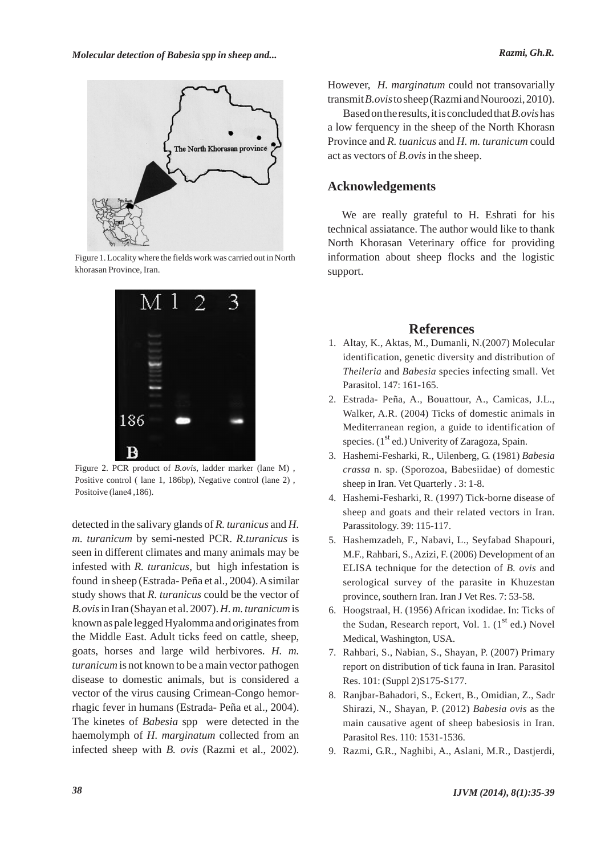

Figure 1. Locality where the fields work was carried out in North khorasan Province, Iran.



Figure 2. PCR product of *B.ovis*, ladder marker (lane M) , Positive control ( lane 1, 186bp), Negative control (lane 2) , Positoive (lane4 ,186).

detected in the salivary glands of *R. turanicus* and *H. m. turanicum* by semi-nested PCR. *R.turanicus* is seen in different climates and many animals may be infested with *R. turanicus*, but high infestation is found in sheep (Estrada- Peña et al., 2004). Asimilar study shows that *R. turanicus* could be the vector of *B.ovis*in Iran (Shayan et al. 2007). *H. m. turanicum*is known as pale legged Hyalomma and originates from the Middle East. Adult ticks feed on cattle, sheep, goats, horses and large wild herbivores. *H. m. turanicum* is not known to be a main vector pathogen disease to domestic animals, but is considered a vector of the virus causing Crimean-Congo hemorrhagic fever in humans (Estrada- Peña et al., 2004). The kinetes of *Babesia* spp were detected in the haemolymph of *H. marginatum* collected from an infected sheep with *B. ovis* (Razmi et al., 2002). However, *H. marginatum* could not transovarially transmit *B.ovis*to sheep (Razmi and Nouroozi, 2010).

Based on the results, it is concluded that *B.ovis*has a low ferquency in the sheep of the North Khorasn Province and *R. tuanicus* and *H. m. turanicum* could act as vectors of *B.ovis*in the sheep.

#### **Acknowledgements**

We are really grateful to H. Eshrati for his technical assiatance. The author would like to thank North Khorasan Veterinary office for providing information about sheep flocks and the logistic support.

# **References**

- Altay, K., Aktas, M., Dumanli, N.(2007) Molecular 1. identification, genetic diversity and distribution of *Theileria* and *Babesia* species infecting small. Vet Parasitol. 147: 161-165.
- Estrada- Peña, A., Bouattour, A., Camicas, J.L., 2. Walker, A.R. (2004) Ticks of domestic animals in Mediterranean region, a guide to identification of species.  $(1<sup>st</sup> ed.)$  Univerity of Zaragoza, Spain.
- Hashemi-Fesharki, R., Uilenberg, G. (1981) *Babesia* 3. *crassa* n. sp. (Sporozoa, Babesiidae) of domestic sheep in Iran. Vet Quarterly . 3: 1-8.
- 4. Hashemi-Fesharki, R. (1997) Tick-borne disease of sheep and goats and their related vectors in Iran. Parassitology. 39: 115-117.
- 5. Hashemzadeh, F., Nabavi, L., Seyfabad Shapouri, M.F., Rahbari, S., Azizi, F. (2006) Development of an ELISA technique for the detection of *B. ovis* and serological survey of the parasite in Khuzestan province, southern Iran. Iran J Vet Res. 7: 53-58.
- 6. Hoogstraal, H. (1956) African ixodidae. In: Ticks of the Sudan, Research report, Vol. 1.  $(1<sup>st</sup>$  ed.) Novel Medical, Washington, USA.
- 7. Rahbari, S., Nabian, S., Shayan, P. (2007) Primary report on distribution of tick fauna in Iran. Parasitol Res. 101: (Suppl 2)S175-S177.
- 8. Ranjbar-Bahadori, S., Eckert, B., Omidian, Z., Sadr Shirazi, N., Shayan, P. (2012) *Babesia ovis* as the main causative agent of sheep babesiosis in Iran. Parasitol Res. 110: 1531-1536.
- 9. Razmi, G.R., Naghibi, A., Aslani, M.R., Dastjerdi,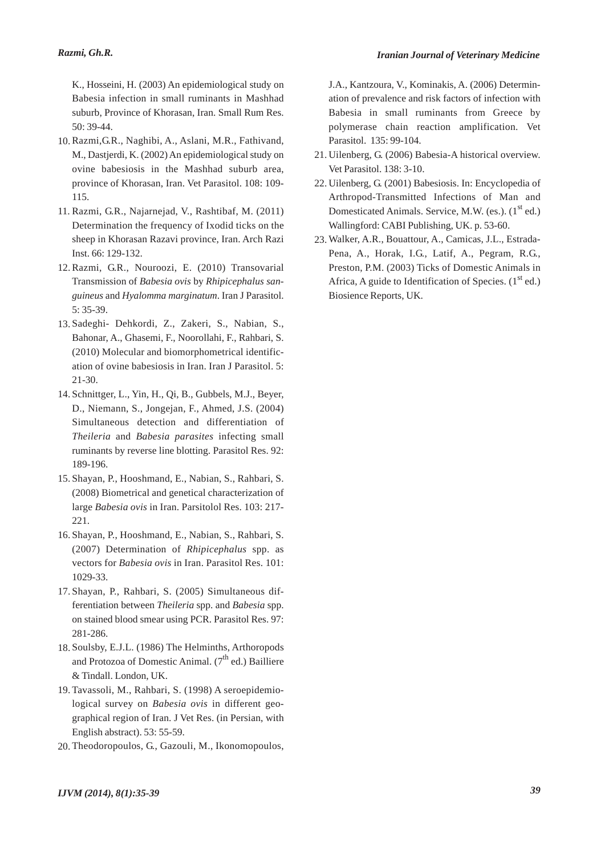K., Hosseini, H. (2003) An epidemiological study on Babesia infection in small ruminants in Mashhad suburb, Province of Khorasan, Iran. Small Rum Res. 50: 39-44.

- 10. Razmi, G.R., Naghibi, A., Aslani, M.R., Fathivand, M., Dastjerdi, K. (2002) An epidemiological study on ovine babesiosis in the Mashhad suburb area, province of Khorasan, Iran. Vet Parasitol. 108: 109- 115.
- 11. Razmi, G.R., Najarnejad, V., Rashtibaf, M. (2011) Determination the frequency of Ixodid ticks on the sheep in Khorasan Razavi province, Iran. Arch Razi Inst. 66: 129-132.
- 12. Razmi, G.R., Nouroozi, E. (2010) Transovarial Transmission of *Babesia ovis* by *Rhipicephalus sanguineus* and *Hyalomma marginatum*. Iran J Parasitol. 5: 35-39.
- 13. Sadeghi- Dehkordi, Z., Zakeri, S., Nabian, S., Bahonar, A., Ghasemi, F., Noorollahi, F., Rahbari, S. (2010) Molecular and biomorphometrical identification of ovine babesiosis in Iran. Iran J Parasitol. 5: 21-30.
- 14. Schnittger, L., Yin, H., Qi, B., Gubbels, M.J., Beyer, D., Niemann, S., Jongejan, F., Ahmed, J.S. (2004) Simultaneous detection and differentiation of *Theileria* and *Babesia parasites* infecting small ruminants by reverse line blotting. Parasitol Res. 92: 189-196.
- 15. Shayan, P., Hooshmand, E., Nabian, S., Rahbari, S. (2008) Biometrical and genetical characterization of large *Babesia ovis* in Iran. Parsitolol Res. 103: 217- 221.
- 16. Shayan, P., Hooshmand, E., Nabian, S., Rahbari, S. (2007) Determination of *Rhipicephalus* spp. as vectors for *Babesia ovis* in Iran. Parasitol Res. 101: 1029-33.
- 17. Shayan, P., Rahbari, S. (2005) Simultaneous differentiation between *Theileria* spp. and *Babesia* spp. on stained blood smear using PCR. Parasitol Res. 97: 281-286.
- 18. Soulsby, E.J.L. (1986) The Helminths, Arthoropods and Protozoa of Domestic Animal.  $(7^{th}$  ed.) Bailliere & Tindall. London, UK.
- 19. Tavassoli, M., Rahbari, S. (1998) A seroepidemiological survey on *Babesia ovis* in different geographical region of Iran. J Vet Res. (in Persian, with English abstract). 53: 55-59.
- 20. Theodoropoulos, G., Gazouli, M., Ikonomopoulos,

J.A., Kantzoura, V., Kominakis, A. (2006) Determination of prevalence and risk factors of infection with Babesia in small ruminants from Greece by polymerase chain reaction amplification. Vet Parasitol. 135: 99-104.

- 21. Uilenberg, G. (2006) Babesia-A historical overview. Vet Parasitol. 138: 3-10.
- 22. Uilenberg, G. (2001) Babesiosis. In: Encyclopedia of Arthropod-Transmitted Infections of Man and Domesticated Animals. Service, M.W. (es.).  $(1<sup>st</sup>$  ed.) Wallingford: CABI Publishing, UK. p. 53-60.
- Walker, A.R., Bouattour, A., Camicas, J.L., Estrada-23.Pena, A., Horak, I.G., Latif, A., Pegram, R.G., Preston, P.M. (2003) Ticks of Domestic Animals in Africa, A guide to Identification of Species.  $(1<sup>st</sup>$  ed.) Biosience Reports, UK.